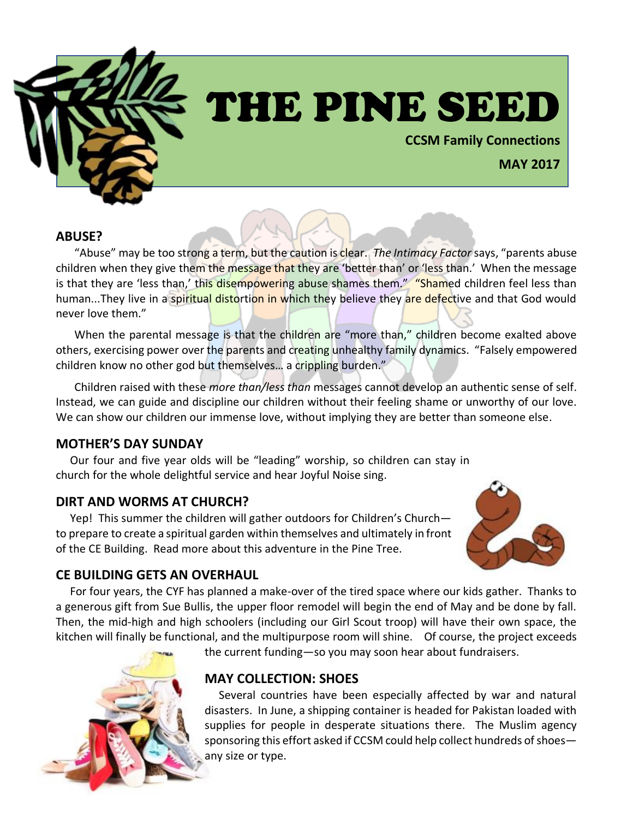

# THE PINE SEED

**CCSM Family Connections**

# **MAY 2017**

#### **ABUSE?**

"Abuse" may be too strong a term, but the caution is clear. *The Intimacy Factor* says, "parents abuse children when they give them the message that they are 'better than' or 'less than.' When the message is that they are 'less than,' this disempowering abuse shames them." "Shamed children feel less than human...They live in a spiritual distortion in which they believe they are defective and that God would never love them."

When the parental message is that the children are "more than," children become exalted above others, exercising power over the parents and creating unhealthy family dynamics. "Falsely empowered children know no other god but themselves… a crippling burden."

Children raised with these *more than/less than* messages cannot develop an authentic sense of self. Instead, we can guide and discipline our children without their feeling shame or unworthy of our love. We can show our children our immense love, without implying they are better than someone else.

#### **MOTHER'S DAY SUNDAY**

 Our four and five year olds will be "leading" worship, so children can stay in church for the whole delightful service and hear Joyful Noise sing.

#### **DIRT AND WORMS AT CHURCH?**

 Yep! This summer the children will gather outdoors for Children's Church to prepare to create a spiritual garden within themselves and ultimately in front of the CE Building. Read more about this adventure in the Pine Tree.



#### **CE BUILDING GETS AN OVERHAUL**

 For four years, the CYF has planned a make-over of the tired space where our kids gather. Thanks to a generous gift from Sue Bullis, the upper floor remodel will begin the end of May and be done by fall. Then, the mid-high and high schoolers (including our Girl Scout troop) will have their own space, the kitchen will finally be functional, and the multipurpose room will shine. Of course, the project exceeds



the current funding—so you may soon hear about fundraisers.

## **MAY COLLECTION: SHOES**

 Several countries have been especially affected by war and natural disasters. In June, a shipping container is headed for Pakistan loaded with supplies for people in desperate situations there. The Muslim agency sponsoring this effort asked if CCSM could help collect hundreds of shoes any size or type.